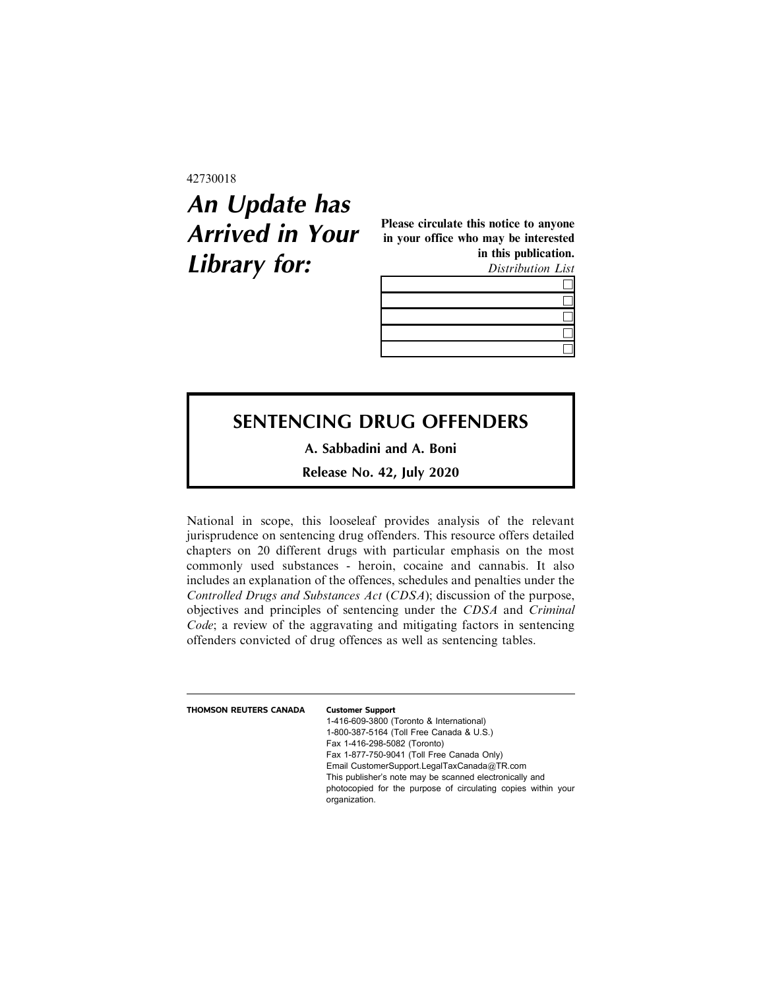42730018

## **An Update has Arrived in Your Library for:**

Please circulate this notice to anyone in your office who may be interested in this publication. Distribution List

## **SENTENCING DRUG OFFENDERS**

**A. Sabbadini and A. Boni**

**Release No. 42, July 2020**

National in scope, this looseleaf provides analysis of the relevant jurisprudence on sentencing drug offenders. This resource offers detailed chapters on 20 different drugs with particular emphasis on the most commonly used substances - heroin, cocaine and cannabis. It also includes an explanation of the offences, schedules and penalties under the Controlled Drugs and Substances Act (CDSA); discussion of the purpose, objectives and principles of sentencing under the CDSA and Criminal Code; a review of the aggravating and mitigating factors in sentencing offenders convicted of drug offences as well as sentencing tables.

| THOMSON REUTERS CANADA | <b>Customer Support</b>                                                        |
|------------------------|--------------------------------------------------------------------------------|
|                        | 1-416-609-3800 (Toronto & International)                                       |
|                        | 1-800-387-5164 (Toll Free Canada & U.S.)                                       |
|                        | Fax 1-416-298-5082 (Toronto)                                                   |
|                        | Fax 1-877-750-9041 (Toll Free Canada Only)                                     |
|                        | Email CustomerSupport.LegalTaxCanada@TR.com                                    |
|                        | This publisher's note may be scanned electronically and                        |
|                        | photocopied for the purpose of circulating copies within your<br>organization. |